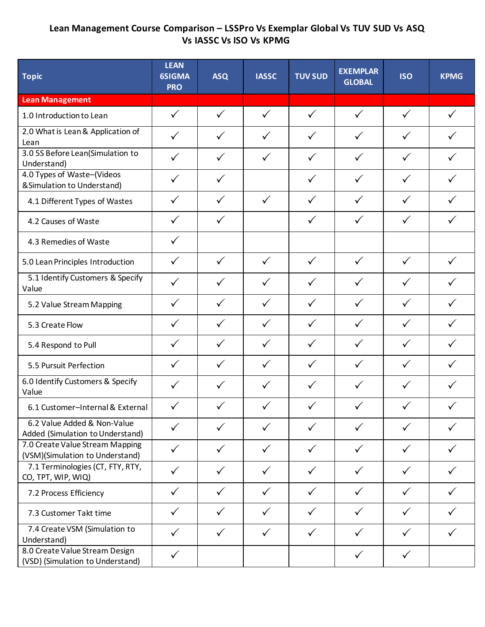## **Lean Management Course Comparison – LSSPro Vs Exemplar Global Vs TUV SUD Vs ASQ Vs IASSC Vs ISO Vs KPMG**

| <b>Topic</b>                                                       | <b>LEAN</b><br><b>6SIGMA</b><br><b>PRO</b> | <b>ASQ</b>   | <b>IASSC</b> | <b>TUV SUD</b> | <b>EXEMPLAR</b><br><b>GLOBAL</b> | <b>ISO</b>   | <b>KPMG</b>  |
|--------------------------------------------------------------------|--------------------------------------------|--------------|--------------|----------------|----------------------------------|--------------|--------------|
| <b>Lean Management</b>                                             |                                            |              |              |                |                                  |              |              |
| 1.0 Introduction to Lean                                           | $\checkmark$                               | $\checkmark$ | $\checkmark$ | $\checkmark$   | $\checkmark$                     | $\checkmark$ | $\checkmark$ |
| 2.0 What is Lean & Application of<br>Lean                          | $\checkmark$                               | $\checkmark$ | $\checkmark$ | $\checkmark$   | $\checkmark$                     | $\checkmark$ | $\checkmark$ |
| 3.0 5S Before Lean(Simulation to<br>Understand)                    | $\checkmark$                               | $\checkmark$ | $\checkmark$ | $\checkmark$   | $\checkmark$                     | $\checkmark$ | $\checkmark$ |
| 4.0 Types of Waste-(Videos<br>& Simulation to Understand)          | $\checkmark$                               | $\checkmark$ |              | $\checkmark$   | $\checkmark$                     | $\checkmark$ |              |
| 4.1 Different Types of Wastes                                      | $\checkmark$                               | $\checkmark$ | $\checkmark$ | $\checkmark$   | $\checkmark$                     | $\checkmark$ | $\checkmark$ |
| 4.2 Causes of Waste                                                | $\checkmark$                               | $\checkmark$ |              | $\checkmark$   | $\checkmark$                     | $\checkmark$ | $\checkmark$ |
| 4.3 Remedies of Waste                                              | $\checkmark$                               |              |              |                |                                  |              |              |
| 5.0 Lean Principles Introduction                                   | $\checkmark$                               | $\checkmark$ | $\checkmark$ | $\checkmark$   | $\checkmark$                     | $\checkmark$ | $\checkmark$ |
| 5.1 Identify Customers & Specify<br>Value                          | $\checkmark$                               | $\checkmark$ | $\checkmark$ | $\checkmark$   | $\checkmark$                     | $\checkmark$ |              |
| 5.2 Value Stream Mapping                                           | $\checkmark$                               | $\checkmark$ | $\checkmark$ | $\checkmark$   | $\checkmark$                     | $\checkmark$ | $\checkmark$ |
| 5.3 Create Flow                                                    | $\checkmark$                               | $\checkmark$ | $\checkmark$ | $\checkmark$   | $\checkmark$                     | $\checkmark$ | $\checkmark$ |
| 5.4 Respond to Pull                                                | $\checkmark$                               | $\checkmark$ | $\checkmark$ | $\checkmark$   | $\checkmark$                     | $\checkmark$ | $\checkmark$ |
| 5.5 Pursuit Perfection                                             | $\checkmark$                               | $\checkmark$ | $\checkmark$ | $\checkmark$   | $\checkmark$                     | $\checkmark$ | $\checkmark$ |
| 6.0 Identify Customers & Specify<br>Value                          | $\checkmark$                               | $\checkmark$ | $\checkmark$ | $\checkmark$   | $\checkmark$                     | $\checkmark$ | ✓            |
| 6.1 Customer-Internal & External                                   | $\checkmark$                               | $\checkmark$ | $\checkmark$ | $\checkmark$   | $\checkmark$                     | $\checkmark$ | $\checkmark$ |
| 6.2 Value Added & Non-Value<br>Added (Simulation to Understand)    | $\checkmark$                               | $\checkmark$ | $\checkmark$ | $\checkmark$   | $\checkmark$                     | $\checkmark$ | $\checkmark$ |
| 7.0 Create Value Stream Mapping<br>(VSM)(Simulation to Understand) | $\checkmark$                               | $\checkmark$ | $\checkmark$ | $\checkmark$   | $\checkmark$                     | $\checkmark$ |              |
| 7.1 Terminologies (CT, FTY, RTY,<br>CO, TPT, WIP, WIQ)             | $\checkmark$                               | $\checkmark$ | $\checkmark$ | $\checkmark$   | $\checkmark$                     | $\checkmark$ |              |
| 7.2 Process Efficiency                                             | $\checkmark$                               | $\checkmark$ | $\checkmark$ | $\checkmark$   | $\checkmark$                     | $\checkmark$ | $\checkmark$ |
| 7.3 Customer Takt time                                             | $\checkmark$                               | $\checkmark$ | $\checkmark$ | $\checkmark$   | $\checkmark$                     | $\checkmark$ |              |
| 7.4 Create VSM (Simulation to<br>Understand)                       | $\checkmark$                               | $\checkmark$ | $\checkmark$ | $\checkmark$   | $\checkmark$                     | $\checkmark$ |              |
| 8.0 Create Value Stream Design<br>(VSD) (Simulation to Understand) | $\checkmark$                               |              |              |                | $\checkmark$                     | $\checkmark$ |              |